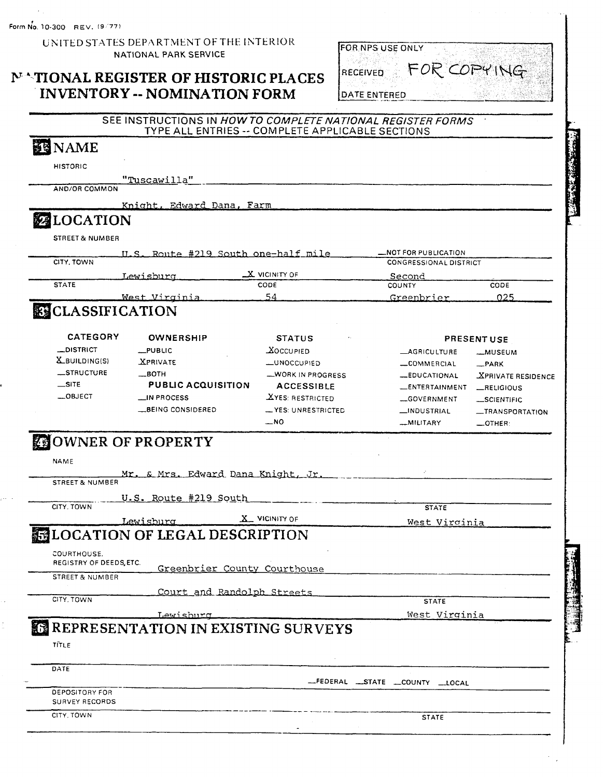#### UNITED STATES DEPARTMENT OF THE INTERIOR NATIONAL PARK SERVICE

#### **NATIONAL REGISTER OF HISTORIC PLACES INVENTORY -- NOMINATION FORM**



#### SEE INSTRUCTIONS IN HOW TO COMPLETE NATIONAL REGISTER FORMS TYPE ALL ENTRIES -- COMPLETE APPLICABLE SECTIONS

## **IS NAME**

**HISTORIC** 

"Tuscawilla" AND/OR COMMON

> Knight, Edward Dana, Farm

# **ZELOCATION**

**STREET & NUMBER** 

|              |                      | ILS. Route #219 South one-half mile | -NOT FOR PUBLICATION          |      |  |
|--------------|----------------------|-------------------------------------|-------------------------------|------|--|
| CITY, TOWN   |                      |                                     | <b>CONGRESSIONAL DISTRICT</b> |      |  |
|              | Lewisburg            | $\_X$ vicinity of                   | Second                        |      |  |
| <b>STATE</b> |                      | <b>CODE</b>                         | COUNTY                        | CODE |  |
|              | <u>West Virginia</u> | 54                                  | Greenbrier                    | 225  |  |
| يستحدث       |                      |                                     |                               |      |  |

### **ELASSIFICATION**

| <b>CATEGORY</b>      | <b>OWNERSHIP</b>          | <b>STATUS</b><br>$\ddot{\phantom{0}}$ |                       | <b>PRESENT USE</b>               |
|----------------------|---------------------------|---------------------------------------|-----------------------|----------------------------------|
| _DISTRICT            | $\_$ PUBLIC               | <b>XOCCUPIED</b>                      | <b>_AGRICULTURE</b>   | __MUSEUM                         |
| <b>X</b> BUILDING(S) | <b>XPRIVATE</b>           | LUNOCCUPIED                           | -COMMERCIAL           | $-$ PARK                         |
| STRUCTURE            | $\equiv$ BOTH             | WORK IN PROGRESS                      | <b>_EDUCATIONAL</b>   | <b><i>XPRIVATE RESIDENCE</i></b> |
| $\equiv$ SITE        | <b>PUBLIC ACQUISITION</b> | <b>ACCESSIBLE</b>                     | <b>LENTERTAINMENT</b> | RELIGIOUS                        |
| $-.$ OBJECT          | $\equiv$ IN PROCESS       | <b>XYES: RESTRICTED</b>               | -GOVERNMENT           | SCIENTIFIC                       |
|                      | BEING CONSIDERED          | - YES: UNRESTRICTED                   | _INDUSTRIAL           | -TRANSPORTATION                  |
|                      |                           | NΩ                                    | <b>MILITADV</b>       | ATUED.                           |

# **COWNER OF PROPERTY**

| <b>NAME</b>                            |                       |                                               |                                          |  |
|----------------------------------------|-----------------------|-----------------------------------------------|------------------------------------------|--|
|                                        |                       | <u>Mr. &amp; Mrs. Edward Dana Knight, Jr.</u> |                                          |  |
| <b>STREET &amp; NUMBER</b>             |                       |                                               |                                          |  |
|                                        | U.S. Route #219 South |                                               |                                          |  |
| CITY, TOWN                             |                       |                                               | <b>STATE</b>                             |  |
|                                        | Lewisburg             | $X$ VICINITY OF                               | West Virginia                            |  |
|                                        |                       | <b>MELOCATION OF LEGAL DESCRIPTION</b>        |                                          |  |
|                                        |                       |                                               |                                          |  |
| COURTHOUSE.<br>REGISTRY OF DEEDS, ETC. |                       |                                               |                                          |  |
|                                        |                       | Greenbrier County Courthouse                  |                                          |  |
| <b>STREET &amp; NUMBER</b>             |                       |                                               |                                          |  |
|                                        |                       | Court and Randolph Streets                    |                                          |  |
| CITY, TOWN                             |                       |                                               | <b>STATE</b>                             |  |
|                                        | <u>Lewishurg</u>      |                                               | West Virginia                            |  |
|                                        |                       | REPRESENTATION IN EXISTING SURVEYS            |                                          |  |
| TĪTLE                                  |                       |                                               |                                          |  |
|                                        |                       |                                               |                                          |  |
| DATE                                   |                       |                                               |                                          |  |
|                                        |                       |                                               | -FEDERAL -STATE -COUNTY<br>$\perp$ LOCAL |  |
| <b>DEPOSITORY FOR</b>                  |                       |                                               |                                          |  |
| <b>SURVEY RECORDS</b>                  |                       |                                               |                                          |  |
| CITY, TOWN                             |                       |                                               | <b>STATE</b>                             |  |
|                                        |                       |                                               |                                          |  |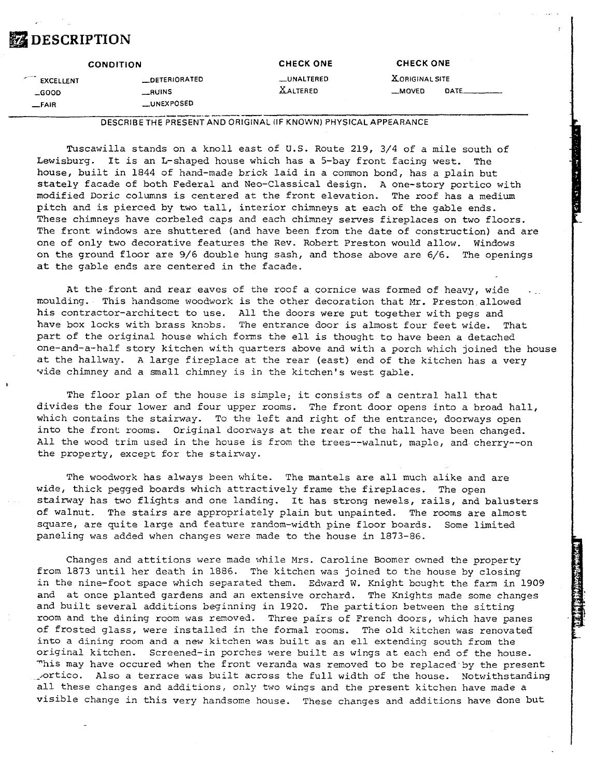# *DESCRIPTION*

| <b>CONDITION</b> |                   | <b>CHECK ONE</b> |                       | <b>CHECK ONE</b> |  |
|------------------|-------------------|------------------|-----------------------|------------------|--|
| EXCELLENT        | __DETERIORATED    | __UNALTERED      | <b>XORIGINAL SITE</b> |                  |  |
| $-$ GOOD         | _______________   | <b>XALTERED</b>  | __MOVED               |                  |  |
| $-FAIR$          | <b>LUNEXPOSED</b> |                  |                       |                  |  |

**DESCRIBE THE PRESENT AND ORIGINAL (IF KNOWN) PHYSICAL APPEARANCE** 

Tuscawilla stands on a knoll east of **U.S.** Route 219, 3/4 of a mile south of Lewisburg. It is an L-shaped house which has a 5-bay front facing west. The house, built in 1844 of hand-made brick laid in a common bond, has a plain but stately facade of both Federal and Neo-Classical design. A one-story portico with modified Doric columns is centared at the front elevation. The roof has a medium pitch and is pierced by two tall, interior chimneys at each of the gable ends. These chimneys have corbeled caps and each chimney serves fireplaces on two floors. The front windows are shuttered (and have been from the date of construction) and are one of only two decorative features the Rev. Robert Preston would allow. Windows on the ground floor are 9/6 double hung sash, and those above are 6/6. The openings at the gable ends are centered in the facade.

At the front and rear eaves of the roof a cornice was formed of heavy, wide moulding. This handsome woodwork is the other decoration that Mr. Preston allowed his contractor-architect to use. All the doors were put together with pegs and have box locks with brass knobs. The entrance door is almost four feet wide. That part of the original house which forms the ell is thought to have been a detached one-and-a-half story kitchen with quarters above and with a porch which joined the house at the hallway. A large fireplace at the rear (east) end of the kitchen has a very vide chimney and a small chimney is in the kitchen's west gable.

The floor plan of the house is simple; it consists of a central hall that divides the four lower and four upper rooms. The front door opens into a broad hall, which contains the stairway. To the left and right of the entrance, doorways open into the front rooms. Original doomays at the rear of the hall have been changed. All the wood trim used in the house is from the trees--walnut, maple, and cherry--on the property, except for the stairway.

The woodwork has always been white. The mantels are all much alike and are wide, thick pegged boards which attractively frame the fireplaces. The open stairway has two flights and one landing. It has strong newels, rails, and balusters of walnut. The stairs are appropriately plain but unpainted. The rooms are almost square, are quite large and feature random-width pine floor boards. Some limited paneling was added when changes were made to the house in 1873-86.

Changes and attitions were made while Mrs. Caroline Boomer owned the property from 1873 until her death in 1886. The kitchen was joined to the house by closing in the nine-foot space which separated them. Edward W. Knight bought the farm in 1909 and at once planted gardens and an extensive orchard. The Knights made some changes and built several additions beginning in 1920. The partition between the sitting room and the dining room was removed. Three pairs of French doors, which have panes of frosted glass, were installed in the formal rooms. The old kitchen was renovated into a dining room and a new kitchen was built as an ell extending south from the original kitchen. Screened-in porches were built as wings at each end of the house. This may have occured when the front veranda was removed to be replaced by the present lortico. Also a terrace was built across the full width of the house. Notwithstanding all these changes and additions, only two wings and the present kitchen have made a visible change in this very handsome house. These changes and additions have done but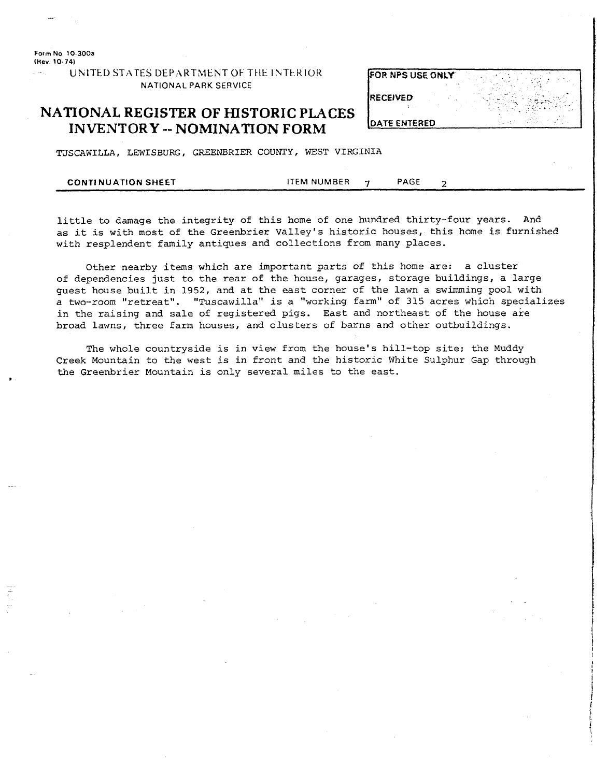**Form No 10-300a (hev 10-741** 

> UNITED STATES DEPARTMENT OF THE INTERIOR **FOR NPS USE ONLY NATIONAL PARK SERVICE**

#### **NATIONAL REGISTER OF HISTORIC PLACES INVENTORY** -- **NOMINATION FORM**

**RECEIVED** - - - -. - .-. **DATE ENTERED** 

TUSCAWILLA, LEWISBURG, GREENBRIER **COUNTY,** WEST VIRGINIA

|--|

little to damage the integrity of this home of one hundred thirty-four years. And as it is with most of the Greenbrier Valley's historic houses, this home is furnished with resplendent family antiques and collections from many places.

Other nearby items which are important parts of this home are: a cluster of dependencies just to the rear of the house, garages, storage buildings, a large guest house built in 1952, and at the east corner of the lawn a swimming pool with a two-room "retreat". "Tuscawilla" is a "working farm" of 315 acres which specializes in the raising and sale of registered pigs. East and northeast of the house are broad lawns, three farm houses, and clusters of barns and other outbuildings.

The whole countryside is in view from the house's hill-top site; the Muddy Creek Mountain to the west is in front and the historic White Sulphur Gap through the Greenbrier Mountain is only several miles to the east. *8*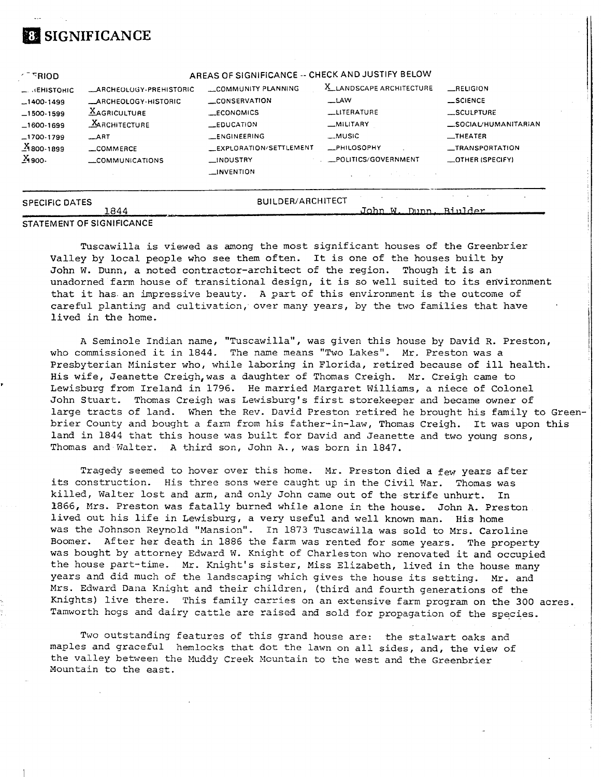# **SIGNIFICANCE**

| $\sim$ RIOD              |                                  | AREAS OF SIGNIFICANCE -- CHECK AND JUSTIFY BELOW |                                   |                         |
|--------------------------|----------------------------------|--------------------------------------------------|-----------------------------------|-------------------------|
| $\sim$ $\cdot$ EHISTORIC | <b>ARCHEOLOGY-PREHISTORIC</b>    | COMMUNITY PLANNING                               | X_LANDSCAPE ARCHITECTURE          | RELIGION                |
| $-1400-1499$             | <b>ARCHEOLOGY-HISTORIC</b>       | CONSERVATION                                     | $\equiv$ LAW                      | $-$ SCIENCE             |
| $-1500-1599$             | <b>AGRICULTURE</b>               | <b>LECONOMICS</b>                                | LITERATURE                        | SCULPTURE               |
| $-1600-1699$             | <b>MARCHITECTURE</b>             | $E$ DUCATION                                     | _MILITARY                         | SOCIAL/HUMANITARIAN     |
| $-1700-1799$             | $\_ART$                          | <b>LENGINEERING</b>                              | <b>_MUSIC</b>                     | $\equiv$ THEATER        |
| $X_{800-1899}$           | _COMMERCE                        | EXPLORATION/SETTLEMENT                           | <b>__PHILOSOPHY</b>               | _TRANSPORTATION         |
| $X_{900}$                | __COMMUNICATIONS                 | __INDUSTRY                                       | . POLITICS/GOVERNMENT             | <b>_OTHER (SPECIFY)</b> |
|                          |                                  | <b>LINVENTION</b>                                | and the state of the state of the |                         |
| <b>SPECIFIC DATES</b>    |                                  | BUILDER/ARCHITECT                                |                                   |                         |
|                          | 1844                             |                                                  | John W. Dunn, Biulder             |                         |
|                          | <b>STATEMENT OF SIGNIFICANCE</b> |                                                  |                                   |                         |

Tuscawilla is viewed as among the most significant houses of the Greenbrier Valley by local people who see them often. It is one of the houses built by John W. Dunn, a noted contractor-architect of the region. Though it is an unadorned farm house of transitional design, it is so well suited to its environment that it has. an impressive beauty. A psrt of this environment is the outcome of careful planting and cultivation, over many years, by the two families that have lived in the home,

A Seminole Indian name, "Tuscawilla", was given this house by David R. Preston, who commissioned it in 1844. The name means "Two Lakes". Mr. Preston was a Presbyterian Minister who, while laboring in Florida, retired because of ill health.<br>His wife, Jeanette Creigh, was a daughter of Thomas Creigh. Mr. Creigh came to Lewisburg from Ireland in 1796. He married Margaret Williams, a niece of Colonel John Stuart. Thomas Creigh was Lewisburg's first storekeeper and became owner of large tracts of land. When the Rev. David Preston retired he brought his family to Greenbrier County and bought a farm from his father-in-law, Thomas Creigh. It was upon this land in 1844 that this house was built for David and Jeanette and two young sons, Thomas and Walter. A third son, John A., was born in 1847.

Tragedy seemed to hover over this home. Mr. Preston died a few years after its construction. His three sons were caught up in the Civil War. Thomas was killed, Walter lost and arm, and only John came out of the strife unhurt. In 1866, Mrs. Preston was fatally burned while alone in the house. John A. Preston lived out his life in Lewisburg, a very useful and well known man. His home was the Johnson Reynold "Mansion". In 1873 Tuscawilla was sold to Mrs. Caroline Boomer. After her death in 1886 the farm was rented for some years. The property was bought by attorney Edward W. Knight of Charleston who renovated it and occupied the house part-time. Mr. Knight's sister, Miss Elizabeth, lived in the house many years and did much of the landscaping which gives the house its setting. Mr. and Mrs. Edward Dana Knight and their children, (third and fourth generations of the Knights) live there. This family carries on an extensive farm program on the 300 acres. Tamworth hogs and dairy cattle are raised and sold for propagation of the species.

Two outstanding features of this grand house are: the stalwart oaks and maples and graceful hemlocks that dot the lawn on all sides, and, the view of the valley between the Muddy Creek Mountain to the west and the Greenbrier Nountain to the east.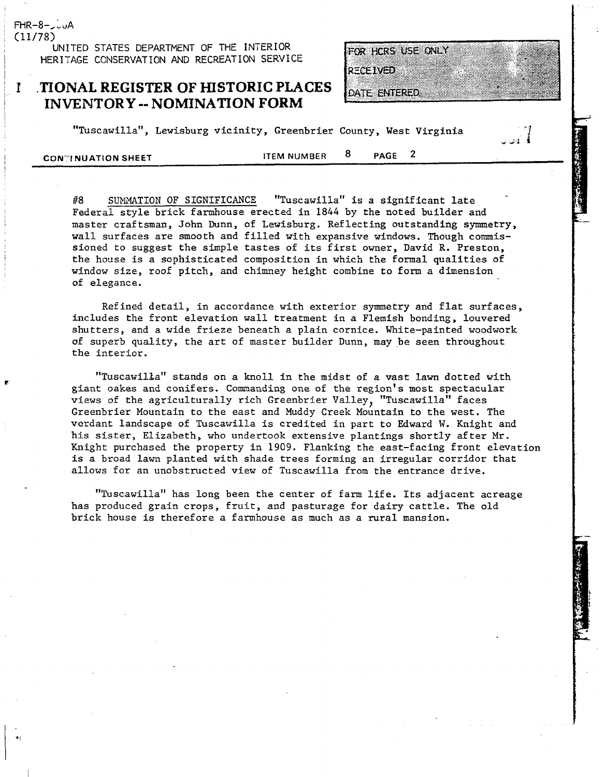FHR-8-JUA (11/78)

I I

i

**UNITED STATES DEPARTMENT OF THE INTERIOR**  <sup>i</sup>**HERITAGE CCNSERVATION AND RECREATION SERVICE** 

#### <sup>I</sup>1 **.T?ONAL REGISTER OF HISTORIC PLACES <sup>I</sup>INVENTORY** -- **NOMINATION FORM**

FOR HCRS USE ONLY

\* **di** '3

DATE ENTERED

**RECEIVED** 

"Tuscawilla", Lewisburg vicinity, Greenbrier County, West Virginia

**11CONTINUATION SHEET 11CONTINUATION** SHEET

#8 SUMMATION OF SIGNIFICANCE "Tuscawilla" is a significant late Federal style brick farmhouse erected in 1844 by the noted builder and master craftsman, John Dunn, of Lewisburg. Reflecting outstanding symmetry, wall surfaces are smooth and filled with expansive windows. Though commissioned to suggest the simple tastes of its first owner, David R. Preston, the house is a sophisticated composition in which the formal qualities of window size, roof pitch, and chimney height combine to **form** a dimension of elegance.

Refined detail, in accordance with exterior symmetry and flat surfaces, includes the front elevation wall treatment in a Flemish bonding, louvered shutters, and a wide frieze beneath a plain cornice. White-painted woodwork of superb quality, the art of master builder Dunn, maybe seen throughout the interior.

"TuscawilBa" stands on a knoll in the midst of a vast lawn dotted with giant oakes and conifers. Commanding one of the region's most spectacular views of the agriculturally rich Greenbrier Valley, "Tuscawilla" faces Greenbrier Mountain to the east and Muddy Creek Mountain to the west. The verdant landscape of Tuscawilla is credited in part to Edward W. Knight and his sister, Elizabeth, who undertook extensive plantings shortly after Mr. Knight purchased the property in 1909. Flanking the east-facing front elevation is a broad lawn planted with shade trees forming an irregular corridor that allows for an unobstructed view of Tuscawilla from the entrance drive.

"Tuscawilla" has long been the center of farm life. Its adjacent acreage has produced grain crops, fruit, and pasturage for dairy cattle. The old brick house is therefore a farmhouse as much as a rural mansion.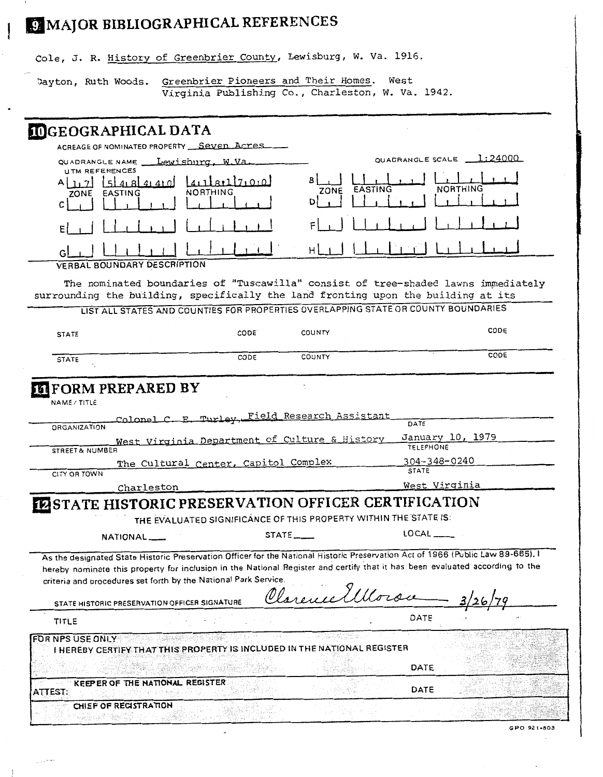# EI MAJOR BIBLIOGRAPHICAL REFERENCES

 $\Box$ 

Cole, J. R. History of Greenbrier County, Lewisburg, W. Va. 1916.

Dayton, Ruth Woods. Greenbrier Pioneers and Their Homes. West Virginia Publishing Co., Charleston, W. Va. 1942.

| <b>INGEOGRAPHICAL DATA</b>                                                                                                                                                                                                                                                                                                                                                          |                                                                                                 |                           |                                                                                                                                                                         |             |
|-------------------------------------------------------------------------------------------------------------------------------------------------------------------------------------------------------------------------------------------------------------------------------------------------------------------------------------------------------------------------------------|-------------------------------------------------------------------------------------------------|---------------------------|-------------------------------------------------------------------------------------------------------------------------------------------------------------------------|-------------|
| ACREAGE OF NOMINATED PROPERTY Seven Acres                                                                                                                                                                                                                                                                                                                                           |                                                                                                 |                           |                                                                                                                                                                         |             |
| QUADRANGLE NAME __ Lewisburg, W.Va                                                                                                                                                                                                                                                                                                                                                  |                                                                                                 |                           | QUADRANGLE SCALE 1:24000                                                                                                                                                |             |
| <b>UTM REFERENCES</b><br>54.8441<br>.71<br>EASTING<br>ZONE<br>с                                                                                                                                                                                                                                                                                                                     | 41181171010<br>NORTHING                                                                         | EASTING<br>ZONE           | NORTHING                                                                                                                                                                |             |
|                                                                                                                                                                                                                                                                                                                                                                                     |                                                                                                 |                           |                                                                                                                                                                         |             |
| <b>VERBAL BOUNDARY DESCRIPTION</b>                                                                                                                                                                                                                                                                                                                                                  |                                                                                                 | H.                        |                                                                                                                                                                         |             |
| surrounding the building, specifically the land fronting upon the building at its                                                                                                                                                                                                                                                                                                   |                                                                                                 |                           | The nominated boundaries of "Tuscawilla" consist of tree-shaded lawns immediately<br>LIST ALL STATES AND COUNTIES FOR PROPERTIES OVERLAPPING STATE OR COUNTY BOUNDARIES |             |
| <b>STATE</b>                                                                                                                                                                                                                                                                                                                                                                        | CODE.                                                                                           | COUNTY                    | CODE                                                                                                                                                                    |             |
| <b>STATE</b>                                                                                                                                                                                                                                                                                                                                                                        | CODE                                                                                            | COUNTY                    | CODE                                                                                                                                                                    |             |
| ORGANIZATION                                                                                                                                                                                                                                                                                                                                                                        | Colonel C. E. Turley, Field Research Assistant<br>West Virginia Department of Culture & History |                           | DATE<br>January 10, 1979<br><b>TELEPHONE</b>                                                                                                                            |             |
| STREET & NUMBER                                                                                                                                                                                                                                                                                                                                                                     |                                                                                                 |                           | 304-348-0240                                                                                                                                                            |             |
| CITY OR TOWN                                                                                                                                                                                                                                                                                                                                                                        | The Cultural Center, Capitol Complex                                                            |                           | <b>STATE</b>                                                                                                                                                            |             |
| Charleston                                                                                                                                                                                                                                                                                                                                                                          |                                                                                                 |                           | West Virginia                                                                                                                                                           |             |
| <b>INSTATE HISTORIC PRESERVATION OFFICER CERTIFICATION</b>                                                                                                                                                                                                                                                                                                                          |                                                                                                 |                           |                                                                                                                                                                         |             |
|                                                                                                                                                                                                                                                                                                                                                                                     | THE EVALUATED SIGNIFICANCE OF THIS PROPERTY WITHIN THE STATE IS:                                |                           |                                                                                                                                                                         |             |
| $NATIONAL$ <sub>--</sub>                                                                                                                                                                                                                                                                                                                                                            |                                                                                                 | $STATE$ <sub>------</sub> | LOCAL                                                                                                                                                                   |             |
| As the designated State Historic Preservation Officer for the National Historic Preservation Act of 1966 (Public Law 89-665), I<br>hereby nominate this property for inclusion in the National Register and certify that it has been evaluated according to the<br>criteria and procedures set forth by the National Park Service.<br>STATE HISTORIC PRESERVATION OFFICER SIGNATURE |                                                                                                 | Clarence 7111.            |                                                                                                                                                                         |             |
| TITLE                                                                                                                                                                                                                                                                                                                                                                               |                                                                                                 |                           | DATE                                                                                                                                                                    |             |
| FOR NPS USE ONLY<br>I HEREBY CERTIFY THAT THIS PROPERTY IS INCLUDED IN THE NATIONAL REGISTER                                                                                                                                                                                                                                                                                        |                                                                                                 |                           |                                                                                                                                                                         |             |
|                                                                                                                                                                                                                                                                                                                                                                                     |                                                                                                 |                           | DATE                                                                                                                                                                    |             |
| KEEPER OF THE NATIONAL REGISTER<br>ATTEST:                                                                                                                                                                                                                                                                                                                                          |                                                                                                 |                           | DATE                                                                                                                                                                    |             |
| CHIEF OF REGISTRATION                                                                                                                                                                                                                                                                                                                                                               |                                                                                                 |                           |                                                                                                                                                                         |             |
|                                                                                                                                                                                                                                                                                                                                                                                     |                                                                                                 |                           |                                                                                                                                                                         | GPO 921-803 |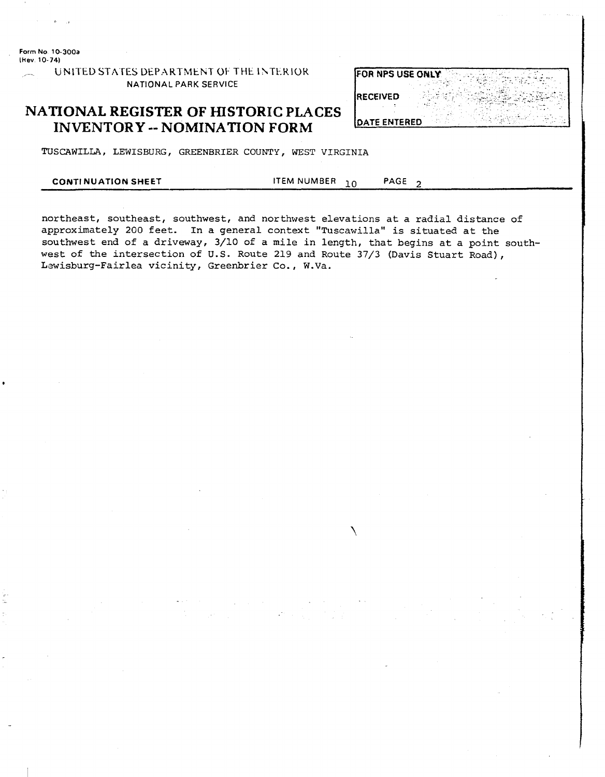Form No. 10-300a (Hev. 10-74)

 $\mathcal{L}$ 

UNITED STATES DEPARTMENT OF THE INTERIOR NATIONAL PARK SERVICE

#### **NATIONAL REGISTER OF HISTORIC PLACES INVENTORY -- NOMINATION FORM**

| FOR NPS USE ONLY     |  |
|----------------------|--|
| <b>IRECEIVED</b>     |  |
| <b>IDATE ENTERED</b> |  |

TUSCAWILLA, LEWISBURG, GREENBRIER COUNTY, WEST VIRGINIA

#### **ITEM NUMBER** PAGE<sub>2</sub> **CONTINUATION SHEET** 10

northeast, southeast, southwest, and northwest elevations at a radial distance of approximately 200 feet. In a general context "Tuscawilla" is situated at the southwest end of a driveway, 3/10 of a mile in length, that begins at a point southwest of the intersection of U.S. Route 219 and Route 37/3 (Davis Stuart Road), Lewisburg-Fairlea vicinity, Greenbrier Co., W.Va.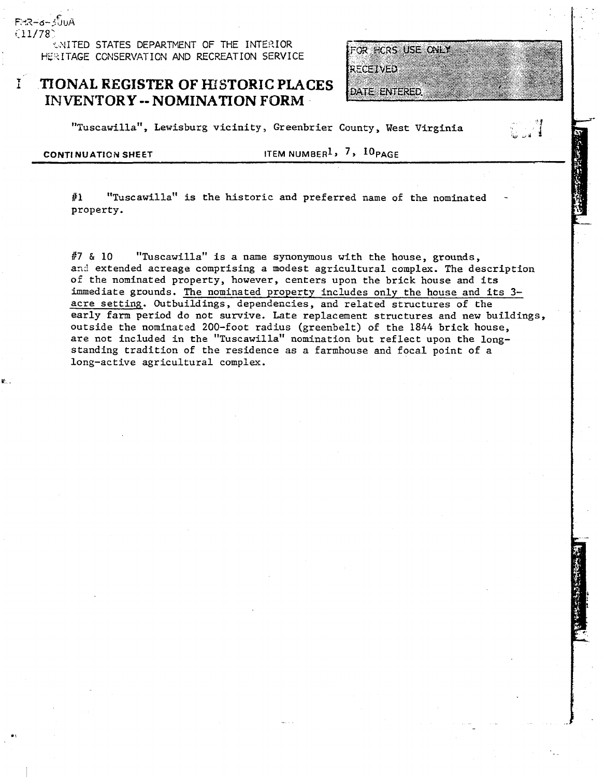*UNITED STATES DEPARTMENT OF THE INTERIOR* HERITAGE CONSERVATION AND RECREATION SERVICE

#### **TIONAL REGISTER OF HISTORIC PLACES INVENTORY -- NOMINATION FORM**

FOR HORS USE ONLY

**a3 d\*** 

DATE ENTERED.

**RECEIVED** 

"Tuscawilla", Lewisburg vicinity, Greenbrier County, West Virginia

FHR-6-300A  $(11/78)$ 

 $\mathbf{I}$ 

**CONTINUATION SHEET ITEM NUMBER<sup>1</sup>, 7, 10 PAGE** 

#1 "Tuscawilla" is the historic and preferred name of the nominated property.

**87** & 10 "Tuscawilla" is a name synonymous with the house, grounds, and extended acreage comprising a modest agricultural complex. The description of the nominated property, however, centers upon the brick house and its immediate grounds. The nominated property includes only the house and its **3**  acre setting. Outbuildings, dependencies, and related structures of the early farm period do not survive. Late replacement structures and new buildings, outside the nominated 200-foot radius (greenbelt) of the 1844 brick house, are not included in the "Tuscawilla" nomination but reflect upon the longstanding tradition of the residence as a farmhouse and focal point of a long-active agricultural complex.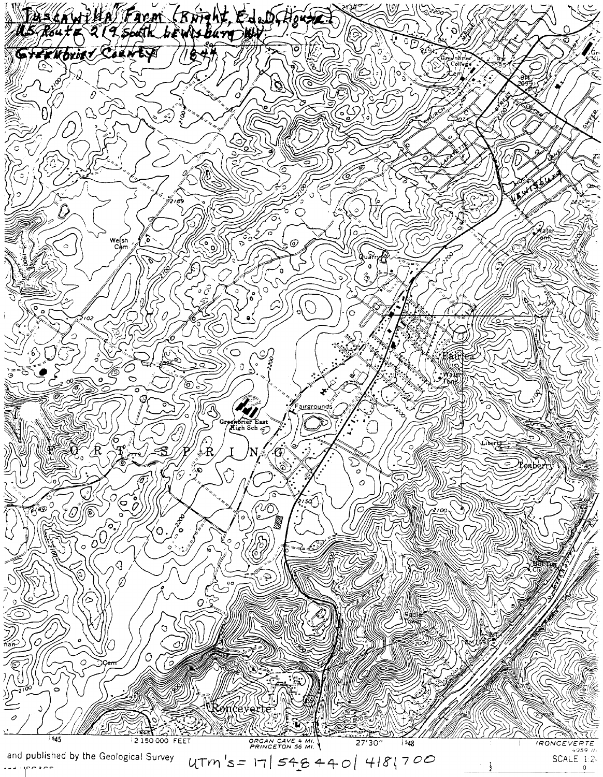